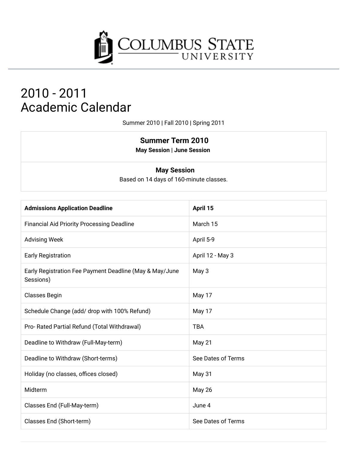

# 2010 - 2011 **Academic Calendar**

Summer 2010 | Fall 2010 | Spring 2011

### **Summer Term 2010**

**May Session | June Session** 

#### **May Session**

Based on 14 days of 160-minute classes.

| <b>Admissions Application Deadline</b>                               | April 15           |
|----------------------------------------------------------------------|--------------------|
| <b>Financial Aid Priority Processing Deadline</b>                    | March 15           |
| <b>Advising Week</b>                                                 | April 5-9          |
| <b>Early Registration</b>                                            | April 12 - May 3   |
| Early Registration Fee Payment Deadline (May & May/June<br>Sessions) | May 3              |
| <b>Classes Begin</b>                                                 | May 17             |
| Schedule Change (add/ drop with 100% Refund)                         | May 17             |
| Pro- Rated Partial Refund (Total Withdrawal)                         | <b>TBA</b>         |
| Deadline to Withdraw (Full-May-term)                                 | May 21             |
| Deadline to Withdraw (Short-terms)                                   | See Dates of Terms |
| Holiday (no classes, offices closed)                                 | May 31             |
| Midterm                                                              | May 26             |
| Classes End (Full-May-term)                                          | June 4             |
| Classes End (Short-term)                                             | See Dates of Terms |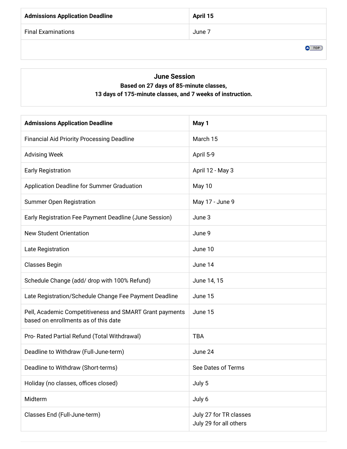| <b>Admissions Application Deadline</b> | April 15 |
|----------------------------------------|----------|
| <b>Final Examinations</b>              | June 7   |

 $\bullet$  TOP

#### **June Session** Based on 27 days of 85-minute classes, 13 days of 175-minute classes, and 7 weeks of instruction.

| <b>Admissions Application Deadline</b>                                                          | May 1                                            |
|-------------------------------------------------------------------------------------------------|--------------------------------------------------|
| <b>Financial Aid Priority Processing Deadline</b>                                               | March 15                                         |
| <b>Advising Week</b>                                                                            | April 5-9                                        |
| <b>Early Registration</b>                                                                       | April 12 - May 3                                 |
| Application Deadline for Summer Graduation                                                      | May 10                                           |
| <b>Summer Open Registration</b>                                                                 | May 17 - June 9                                  |
| Early Registration Fee Payment Deadline (June Session)                                          | June 3                                           |
| <b>New Student Orientation</b>                                                                  | June 9                                           |
| Late Registration                                                                               | June 10                                          |
| <b>Classes Begin</b>                                                                            | June 14                                          |
| Schedule Change (add/ drop with 100% Refund)                                                    | June 14, 15                                      |
| Late Registration/Schedule Change Fee Payment Deadline                                          | June 15                                          |
| Pell, Academic Competitiveness and SMART Grant payments<br>based on enrollments as of this date | June 15                                          |
| Pro- Rated Partial Refund (Total Withdrawal)                                                    | <b>TBA</b>                                       |
| Deadline to Withdraw (Full-June-term)                                                           | June 24                                          |
| Deadline to Withdraw (Short-terms)                                                              | See Dates of Terms                               |
| Holiday (no classes, offices closed)                                                            | July 5                                           |
| Midterm                                                                                         | July 6                                           |
| Classes End (Full-June-term)                                                                    | July 27 for TR classes<br>July 29 for all others |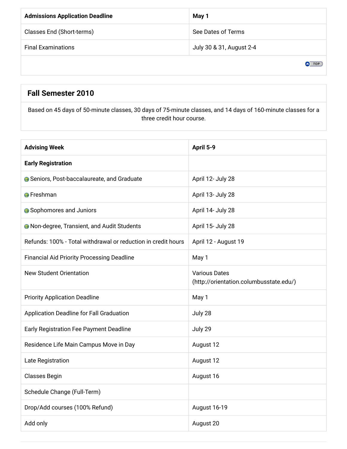| <b>Admissions Application Deadline</b> | May 1                    |
|----------------------------------------|--------------------------|
| Classes End (Short-terms)              | See Dates of Terms       |
| <b>Final Examinations</b>              | July 30 & 31, August 2-4 |
|                                        |                          |

### Fall Semester 2010

Based on 45 days of 50-minute classes, 30 days of 75-minute classes, and 14 days of 160-minute classes for a three credit hour course.

| <b>Advising Week</b>                                          | April 5-9                                                       |
|---------------------------------------------------------------|-----------------------------------------------------------------|
| <b>Early Registration</b>                                     |                                                                 |
| <b>G</b> Seniors, Post-baccalaureate, and Graduate            | April 12- July 28                                               |
| <b>A</b> Freshman                                             | April 13- July 28                                               |
| <b>A</b> Sophomores and Juniors                               | April 14- July 28                                               |
| <b>A</b> Non-degree, Transient, and Audit Students            | April 15- July 28                                               |
| Refunds: 100% - Total withdrawal or reduction in credit hours | April 12 - August 19                                            |
| <b>Financial Aid Priority Processing Deadline</b>             | May 1                                                           |
| <b>New Student Orientation</b>                                | <b>Various Dates</b><br>(http://orientation.columbusstate.edu/) |
| <b>Priority Application Deadline</b>                          | May 1                                                           |
| Application Deadline for Fall Graduation                      | July 28                                                         |
| Early Registration Fee Payment Deadline                       | July 29                                                         |
| Residence Life Main Campus Move in Day                        | August 12                                                       |
| Late Registration                                             | August 12                                                       |
| <b>Classes Begin</b>                                          | August 16                                                       |
| Schedule Change (Full-Term)                                   |                                                                 |
| Drop/Add courses (100% Refund)                                | August 16-19                                                    |
| Add only                                                      | August 20                                                       |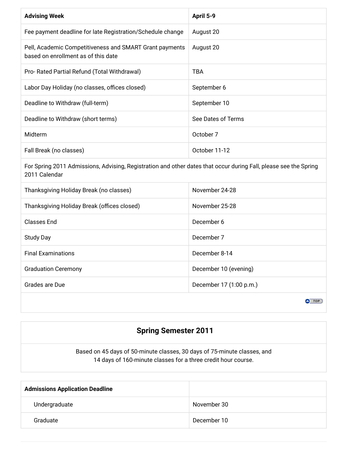| <b>Advising Week</b>                                                                                                              | April 5-9               |
|-----------------------------------------------------------------------------------------------------------------------------------|-------------------------|
| Fee payment deadline for late Registration/Schedule change                                                                        | August 20               |
| Pell, Academic Competitiveness and SMART Grant payments<br>based on enrollment as of this date                                    | August 20               |
| Pro- Rated Partial Refund (Total Withdrawal)                                                                                      | <b>TBA</b>              |
| Labor Day Holiday (no classes, offices closed)                                                                                    | September 6             |
| Deadline to Withdraw (full-term)                                                                                                  | September 10            |
| Deadline to Withdraw (short terms)                                                                                                | See Dates of Terms      |
| Midterm                                                                                                                           | October 7               |
| Fall Break (no classes)                                                                                                           | October 11-12           |
| For Spring 2011 Admissions, Advising, Registration and other dates that occur during Fall, please see the Spring<br>2011 Calendar |                         |
| Thanksgiving Holiday Break (no classes)                                                                                           | November 24-28          |
| Thanksgiving Holiday Break (offices closed)                                                                                       | November 25-28          |
| <b>Classes End</b>                                                                                                                | December 6              |
| <b>Study Day</b>                                                                                                                  | December 7              |
| <b>Final Examinations</b>                                                                                                         | December 8-14           |
| <b>Graduation Ceremony</b>                                                                                                        | December 10 (evening)   |
| Grades are Due                                                                                                                    | December 17 (1:00 p.m.) |
|                                                                                                                                   | $\bullet$ TOP           |

## **Spring Semester 2011**

Based on 45 days of 50-minute classes, 30 days of 75-minute classes, and 14 days of 160-minute classes for a three credit hour course.

| <b>Admissions Application Deadline</b> |             |
|----------------------------------------|-------------|
| Undergraduate                          | November 30 |
| Graduate                               | December 10 |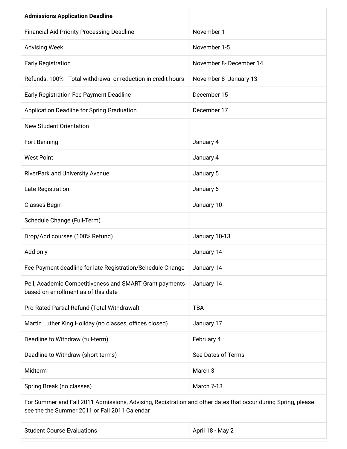| <b>Admissions Application Deadline</b>                                                         |                         |
|------------------------------------------------------------------------------------------------|-------------------------|
| <b>Financial Aid Priority Processing Deadline</b>                                              | November 1              |
| <b>Advising Week</b>                                                                           | November 1-5            |
| <b>Early Registration</b>                                                                      | November 8- December 14 |
| Refunds: 100% - Total withdrawal or reduction in credit hours                                  | November 8- January 13  |
| <b>Early Registration Fee Payment Deadline</b>                                                 | December 15             |
| Application Deadline for Spring Graduation                                                     | December 17             |
| <b>New Student Orientation</b>                                                                 |                         |
| Fort Benning                                                                                   | January 4               |
| <b>West Point</b>                                                                              | January 4               |
| RiverPark and University Avenue                                                                | January 5               |
| Late Registration                                                                              | January 6               |
| <b>Classes Begin</b>                                                                           | January 10              |
| Schedule Change (Full-Term)                                                                    |                         |
| Drop/Add courses (100% Refund)                                                                 | January 10-13           |
| Add only                                                                                       | January 14              |
| Fee Payment deadline for late Registration/Schedule Change                                     | January 14              |
| Pell, Academic Competitiveness and SMART Grant payments<br>based on enrollment as of this date | January 14              |
| Pro-Rated Partial Refund (Total Withdrawal)                                                    | <b>TBA</b>              |
| Martin Luther King Holiday (no classes, offices closed)                                        | January 17              |
| Deadline to Withdraw (full-term)                                                               | February 4              |
| Deadline to Withdraw (short terms)                                                             | See Dates of Terms      |
| Midterm                                                                                        | March <sub>3</sub>      |
| Spring Break (no classes)                                                                      | March 7-13              |

For Summer and Fall 2011 Admissions, Advising, Registration and other dates that occur during Spring, please see the the Summer 2011 or Fall 2011 Calendar

| <b>Student Course Evaluations</b> | April 18 - May 2 |
|-----------------------------------|------------------|
|                                   |                  |